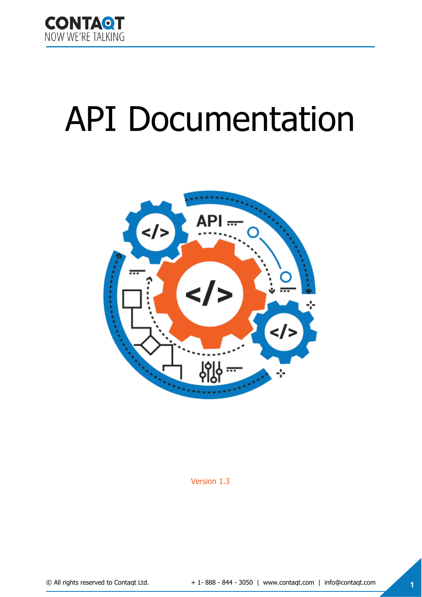

# API Documentation



Version 1.3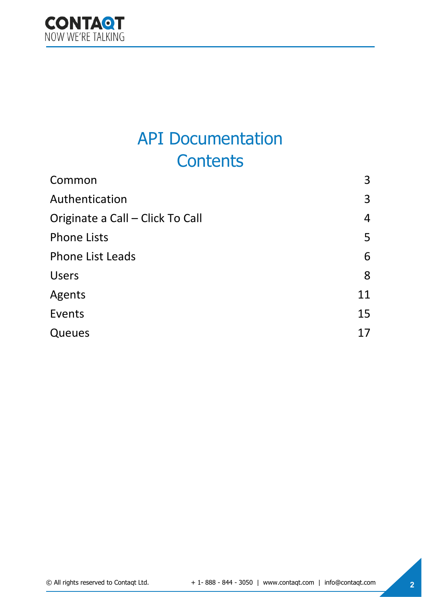

# API Documentation **Contents**

| Common                           | 3              |
|----------------------------------|----------------|
| Authentication                   | 3              |
| Originate a Call - Click To Call | $\overline{4}$ |
| <b>Phone Lists</b>               | 5              |
| <b>Phone List Leads</b>          | 6              |
| <b>Users</b>                     | 8              |
| Agents                           | 11             |
| Events                           | 15             |
| Queues                           | 17             |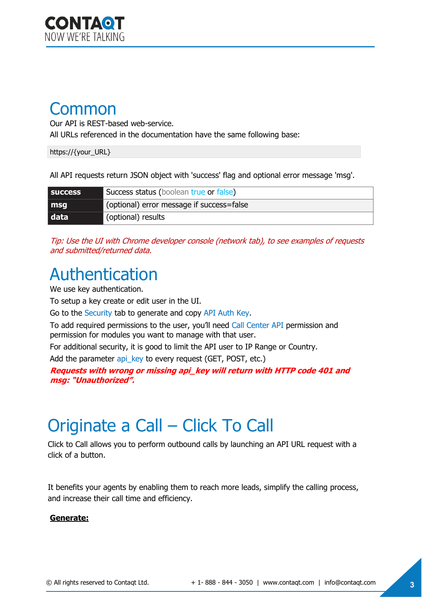### <span id="page-2-0"></span>Common

Our API is REST-based web-service.

All URLs referenced in the documentation have the same following base:

https://{your\_URL}

All API requests return JSON object with 'success' flag and optional error message 'msg'.

| <b>SUCCESS</b> | Success status (boolean true or false)    |
|----------------|-------------------------------------------|
| msq            | (optional) error message if success=false |
| data           | (optional) results                        |

Tip: Use the UI with Chrome developer console (network tab), to see examples of requests and submitted/returned data.

### <span id="page-2-1"></span>Authentication

We use key authentication.

To setup a key create or edit user in the UI.

Go to the Security tab to generate and copy API Auth Key.

To add required permissions to the user, you'll need Call Center API permission and permission for modules you want to manage with that user.

For additional security, it is good to limit the API user to IP Range or Country. Add the parameter api key to every request (GET, POST, etc.)

**Requests with wrong or missing api\_key will return with HTTP code 401 and msg: "Unauthorized".**

### <span id="page-2-2"></span>Originate a Call – Click To Call

Click to Call allows you to perform outbound calls by launching an API URL request with a click of a button.

It benefits your agents by enabling them to reach more leads, simplify the calling process, and increase their call time and efficiency.

#### **Generate:**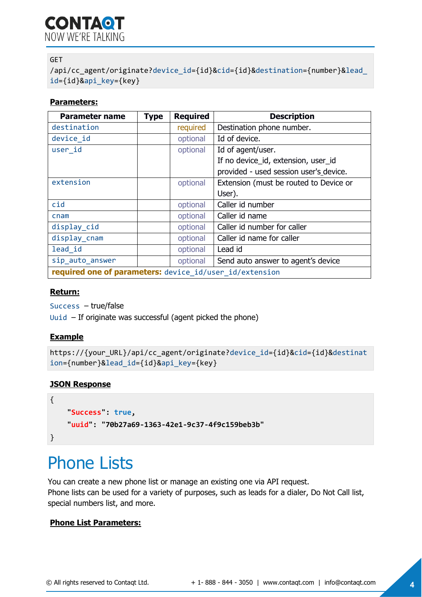**CONTAQT** NOW WF'RE TAI KING

#### GET

/api/cc\_agent/originate?device\_id={id}&cid={id}&destination={number}&lead\_ id={id}&api\_key={key}

#### **Parameters:**

| <b>Parameter name</b>                                   | <b>Type</b> | <b>Required</b> | <b>Description</b>                     |  |
|---------------------------------------------------------|-------------|-----------------|----------------------------------------|--|
| destination                                             |             | required        | Destination phone number.              |  |
| device id                                               |             | optional        | Id of device.                          |  |
| user_id                                                 |             | optional        | Id of agent/user.                      |  |
|                                                         |             |                 | If no device_id, extension, user_id    |  |
|                                                         |             |                 | provided - used session user's device. |  |
| extension                                               |             | optional        | Extension (must be routed to Device or |  |
|                                                         |             |                 | User).                                 |  |
| cid                                                     |             | optional        | Caller id number                       |  |
| c <sub>nam</sub>                                        |             | optional        | Caller id name                         |  |
| display_cid                                             |             | optional        | Caller id number for caller            |  |
| display_cnam                                            |             | optional        | Caller id name for caller              |  |
| lead id                                                 |             | optional        | Lead id                                |  |
| sip auto answer                                         |             | optional        | Send auto answer to agent's device     |  |
| required one of parameters: device_id/user_id/extension |             |                 |                                        |  |

#### **Return:**

Success – true/false

Uuid – If originate was successful (agent picked the phone)

#### **Example**

```
https://{your_URL}/api/cc_agent/originate?device_id={id}&cid={id}&destinat
ion={number}&lead_id={id}&api_key={key}
```
#### **JSON Response**

```
{
     "Success": true, 
     "uuid": "70b27a69-1363-42e1-9c37-4f9c159beb3b"
}
```
### <span id="page-3-0"></span>Phone Lists

You can create a new phone list or manage an existing one via API request. Phone lists can be used for a variety of purposes, such as leads for a dialer, Do Not Call list, special numbers list, and more.

#### **Phone List Parameters:**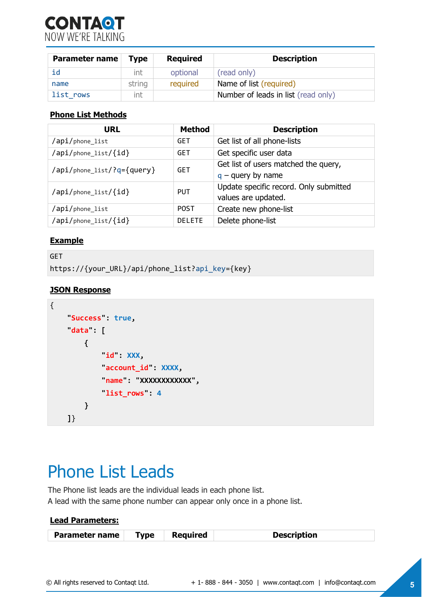

| <b>Parameter name</b> | Type   | <b>Required</b> | <b>Description</b>                  |
|-----------------------|--------|-----------------|-------------------------------------|
| id                    | int    | optional        | (read only)                         |
| name                  | string | required        | Name of list (required)             |
| list rows             | int    |                 | Number of leads in list (read only) |

#### **Phone List Methods**

| <b>URL</b>                 | <b>Method</b> | <b>Description</b>                                            |
|----------------------------|---------------|---------------------------------------------------------------|
| /api/phone_list            | <b>GET</b>    | Get list of all phone-lists                                   |
| /api/phone_list/{id}       | <b>GET</b>    | Get specific user data                                        |
| /api/phone_list/?q={query} | <b>GET</b>    | Get list of users matched the query,<br>$q$ – query by name   |
| /api/phone_list/{id}       | PUT           | Update specific record. Only submitted<br>values are updated. |
| /api/phone_list            | <b>POST</b>   | Create new phone-list                                         |
| /api/phone_list/{id}       | <b>DELETE</b> | Delete phone-list                                             |

#### **Example**

```
GET
https://{your_URL}/api/phone_list?api_key={key}
```
#### **JSON Response**

```
{
     "Success": true, 
     "data": [
          {
             id : XXX,
              "account_id": XXXX, 
              "name": "XXXXXXXXXXXX", 
             list rows": 4
          }
     ]}
```
### Phone List Leads

The Phone list leads are the individual leads in each phone list. A lead with the same phone number can appear only once in a phone list.

| Parameter name | <b>Type</b> | <b>Required</b> | <b>Description</b> |
|----------------|-------------|-----------------|--------------------|

**Lead Parameters:**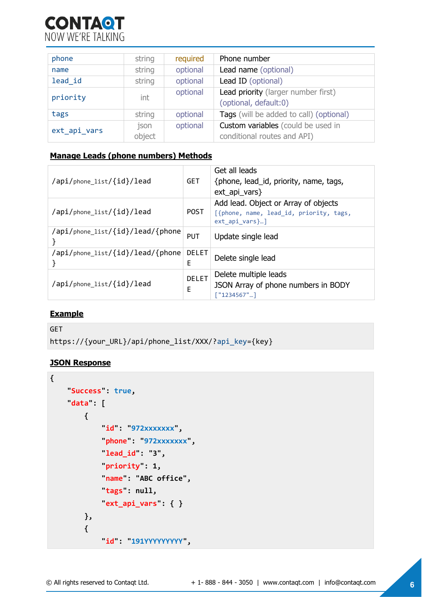

| phone        | string         | required | Phone number                                                      |
|--------------|----------------|----------|-------------------------------------------------------------------|
| name         | string         | optional | Lead name (optional)                                              |
| lead id      | string         | optional | Lead ID (optional)                                                |
| priority     | int            | optional | Lead priority (larger number first)<br>(optional, default:0)      |
| tags         | string         | optional | Tags (will be added to call) (optional)                           |
| ext api vars | json<br>object | optional | Custom variables (could be used in<br>conditional routes and API) |

#### **Manage Leads (phone numbers) Methods**

| /api/phone list/{id}/lead        | <b>GET</b>        | Get all leads<br>{phone, lead_id, priority, name, tags,<br>$ext\_api\_vars\}$                       |
|----------------------------------|-------------------|-----------------------------------------------------------------------------------------------------|
| /api/phone list/{id}/lead        | <b>POST</b>       | Add lead. Object or Array of objects<br>[{phone, name, lead_id, priority, tags,<br>$ext$ api vars}] |
| /api/phone_list/{id}/lead/{phone | <b>PUT</b>        | Update single lead                                                                                  |
| /api/phone_list/{id}/lead/{phone | <b>DELET</b><br>E | Delete single lead                                                                                  |
| /api/phone list/{id}/lead        | <b>DELET</b><br>E | Delete multiple leads<br>JSON Array of phone numbers in BODY<br>$[$ "1234567"]                      |

#### **Example**

```
GET
https://{your_URL}/api/phone_list/XXX/?api_key={key}
```

```
{
     "Success": true, 
     "data": [
          {
              "id": "972xxxxxxx", 
              "phone": "972xxxxxxx", 
              "lead_id": "3", 
             priority : 1,
              "name": "ABC office", 
              "tags": null, 
              "ext_api_vars": { }
          }, 
          {
              "id": "191YYYYYYYYY",
```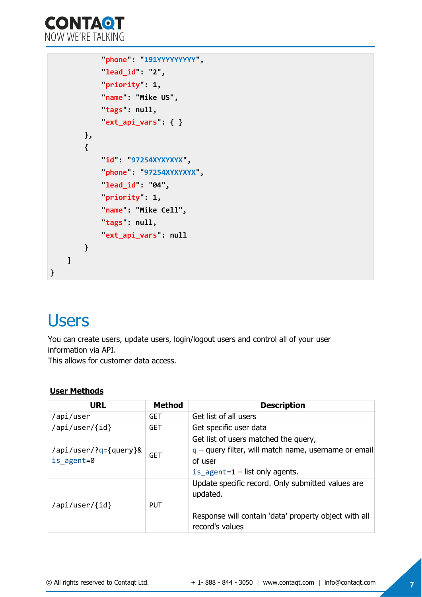

```
 "phone": "191YYYYYYYYY", 
               "lead_id": "2", 
               "priority": 1, 
               "name": "Mike US", 
               "tags": null, 
               "ext_api_vars": { }
          }, 
          {
               "id": "97254XYXYXYX", 
               "phone": "97254XYXYXYX", 
               "lead_id": "04", 
               "priority": 1, 
               "name": "Mike Cell", 
               "tags": null, 
               "ext_api_vars": null
          }
     ]
}
```
# <span id="page-6-0"></span>**Users**

You can create users, update users, login/logout users and control all of your user information via API. This allows for customer data access.

#### **User Methods**

| <b>URL</b>                          | <b>Method</b> | <b>Description</b>                                                                                                                             |
|-------------------------------------|---------------|------------------------------------------------------------------------------------------------------------------------------------------------|
| /api/user                           | <b>GET</b>    | Get list of all users                                                                                                                          |
| /api/user/{id}                      | <b>GET</b>    | Get specific user data                                                                                                                         |
| /api/user/?q={query}&<br>is agent=0 | <b>GET</b>    | Get list of users matched the query,<br>$q$ – query filter, will match name, username or email<br>of user<br>is agent= $1$ – list only agents. |
| /api/user/{id}                      | <b>PUT</b>    | Update specific record. Only submitted values are<br>updated.<br>Response will contain 'data' property object with all<br>record's values      |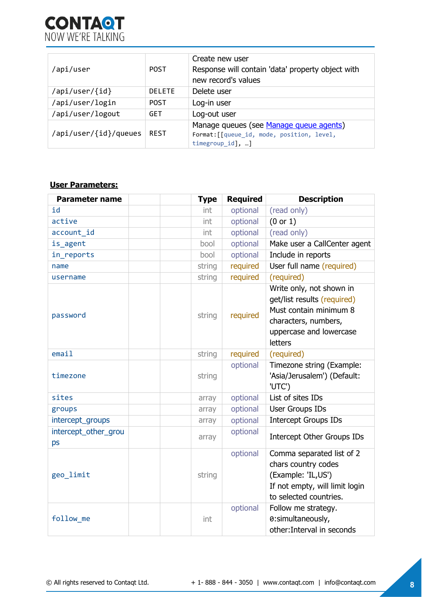

| /api/user             | <b>POST</b>   | Create new user<br>Response will contain 'data' property object with<br>new record's values               |
|-----------------------|---------------|-----------------------------------------------------------------------------------------------------------|
| /api/user/{id}        | <b>DELETE</b> | Delete user                                                                                               |
| /api/user/login       | <b>POST</b>   | Log-in user                                                                                               |
| /api/user/logout      | <b>GET</b>    | Log-out user                                                                                              |
| /api/user/{id}/queues | <b>REST</b>   | Manage queues (see Manage queue agents)<br>Format: [[queue id, mode, position, level,<br>timegroup $id$ , |

#### **User Parameters:**

| <b>Parameter name</b>      | <b>Type</b> | <b>Required</b> | <b>Description</b>                                                                                                                              |
|----------------------------|-------------|-----------------|-------------------------------------------------------------------------------------------------------------------------------------------------|
| id                         | int         | optional        | (read only)                                                                                                                                     |
| active                     | int         | optional        | (0 or 1)                                                                                                                                        |
| account id                 | int         | optional        | (read only)                                                                                                                                     |
| is agent                   | bool        | optional        | Make user a CallCenter agent                                                                                                                    |
| in reports                 | bool        | optional        | Include in reports                                                                                                                              |
| name                       | string      | required        | User full name (required)                                                                                                                       |
| username                   | string      | required        | (required)                                                                                                                                      |
| password                   | string      | required        | Write only, not shown in<br>get/list results (required)<br>Must contain minimum 8<br>characters, numbers,<br>uppercase and lowercase<br>letters |
| email                      | string      | required        | (required)                                                                                                                                      |
| timezone                   | string      | optional        | Timezone string (Example:<br>'Asia/Jerusalem') (Default:<br>'UTC')                                                                              |
| sites                      | array       | optional        | List of sites IDs                                                                                                                               |
| groups                     | array       | optional        | User Groups IDs                                                                                                                                 |
| intercept_groups           | array       | optional        | <b>Intercept Groups IDs</b>                                                                                                                     |
| intercept_other_grou<br>ps | array       | optional        | Intercept Other Groups IDs                                                                                                                      |
| geo limit                  | string      | optional        | Comma separated list of 2<br>chars country codes<br>(Example: 'IL,US')<br>If not empty, will limit login<br>to selected countries.              |
| follow me                  | int         | optional        | Follow me strategy.<br>0:simultaneously,<br>other: Interval in seconds                                                                          |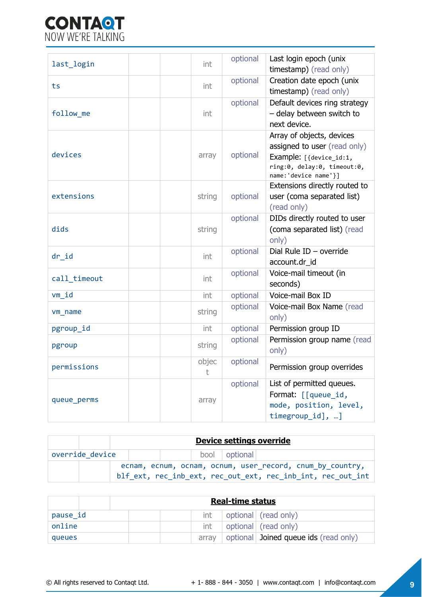

| last_login   | int        | optional | Last login epoch (unix<br>timestamp) (read only)                                                                                             |
|--------------|------------|----------|----------------------------------------------------------------------------------------------------------------------------------------------|
| ts           | int        | optional | Creation date epoch (unix<br>timestamp) (read only)                                                                                          |
| follow me    | int        | optional | Default devices ring strategy<br>- delay between switch to<br>next device.                                                                   |
| devices      | array      | optional | Array of objects, devices<br>assigned to user (read only)<br>Example: [{device_id:1,<br>ring:0, delay:0, timeout:0,<br>name: 'device name'}] |
| extensions   | string     | optional | Extensions directly routed to<br>user (coma separated list)<br>(read only)                                                                   |
| dids         | string     | optional | DIDs directly routed to user<br>(coma separated list) (read<br>only)                                                                         |
| $dr_id$      | int        | optional | Dial Rule ID - override<br>account.dr_id                                                                                                     |
| call timeout | int        | optional | Voice-mail timeout (in<br>seconds)                                                                                                           |
| vm id        | int        | optional | Voice-mail Box ID                                                                                                                            |
| vm name      | string     | optional | Voice-mail Box Name (read<br>only)                                                                                                           |
| pgroup_id    | int        | optional | Permission group ID                                                                                                                          |
| pgroup       | string     | optional | Permission group name (read<br>only)                                                                                                         |
| permissions  | objec<br>t | optional | Permission group overrides                                                                                                                   |
| queue_perms  | array      | optional | List of permitted queues.<br>Format: [[queue_id,<br>mode, position, level,<br>$timegroup_id], $ ]                                            |

|                 | Device settings override |  |                 |                                                                                                                          |
|-----------------|--------------------------|--|-----------------|--------------------------------------------------------------------------------------------------------------------------|
| override device |                          |  | bool   optional |                                                                                                                          |
|                 |                          |  |                 | ecnam, ecnum, ocnam, ocnum, user record, cnum by country,<br>blf ext, rec inb ext, rec out ext, rec inb int, rec out int |

|          | <b>Real-time status</b>                        |  |  |  |  |
|----------|------------------------------------------------|--|--|--|--|
| pause id | optional (read only)<br>int                    |  |  |  |  |
| online   | optional (read only)<br>int                    |  |  |  |  |
| queues   | optional Joined queue ids (read only)<br>arrav |  |  |  |  |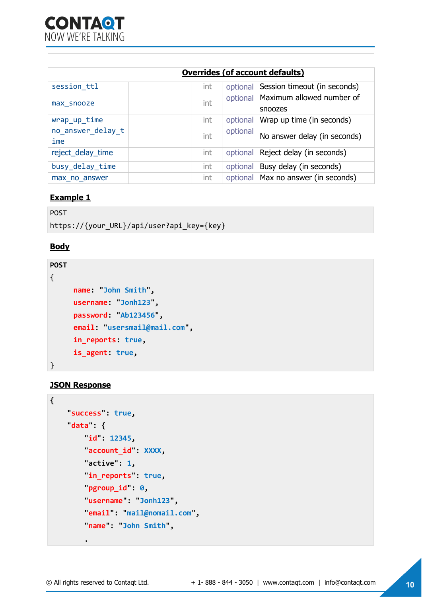|                          |  |     |          | <b>Overrides (of account defaults)</b>          |
|--------------------------|--|-----|----------|-------------------------------------------------|
| session ttl              |  | int | optional | Session timeout (in seconds)                    |
| max snooze               |  | int |          | optional   Maximum allowed number of<br>snoozes |
| wrap_up_time             |  | int | optional | Wrap up time (in seconds)                       |
| no answer delay t<br>ime |  | int | optional | No answer delay (in seconds)                    |
| reject_delay_time        |  | int |          | optional   Reject delay (in seconds)            |
| busy delay time          |  | int | optional | Busy delay (in seconds)                         |
| max no answer            |  | int |          | optional   Max no answer (in seconds)           |

#### **Example 1**

```
POST
https://{your_URL}/api/user?api_key={key}
```
#### **Body**

```
POST
{
     name: "John Smith",
     username: "Jonh123",
     password: "Ab123456",
     email: "usersmail@mail.com",
      in_reports: true,
     is_agent: true,
}
```
#### **JSON Response**

```
{
     "success": true, 
     "data": {
        id": 12345,
          "account_id": XXXX, 
         "active": 1, 
         in\_reports : true,
          "pgroup_id": 0, 
          "username": "Jonh123",
          "email": "mail@nomail.com", 
          "name": "John Smith",
```
 **.**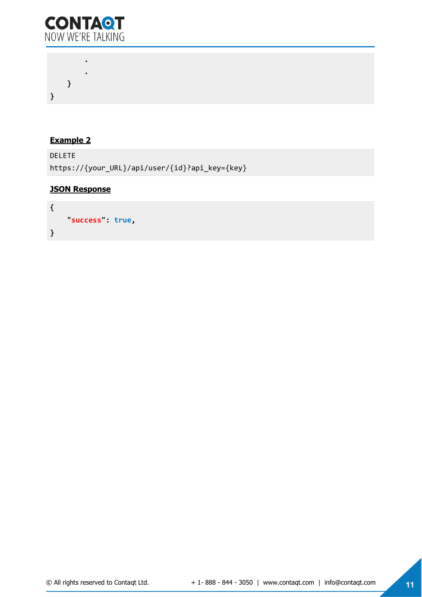

 **. . } }** 

#### **Example 2**

DELETE https://{your\_URL}/api/user/{id}?api\_key={key}

```
{
     "success": true, 
}
```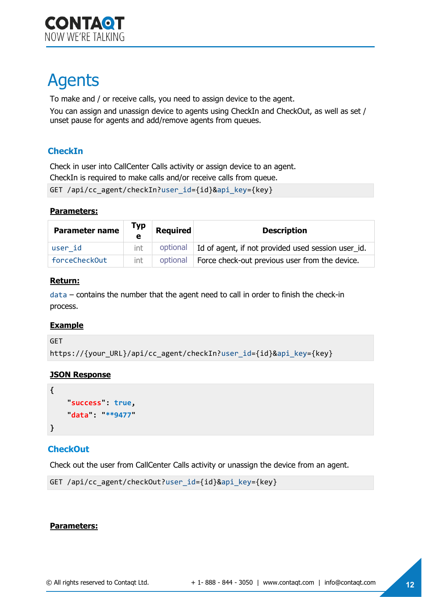# <span id="page-11-0"></span>Agents

To make and / or receive calls, you need to assign device to the agent.

You can assign and unassign device to agents using CheckIn and CheckOut, as well as set / unset pause for agents and add/remove agents from queues.

### **CheckIn**

Check in user into CallCenter Calls activity or assign device to an agent. CheckIn is required to make calls and/or receive calls from queue.

```
GET /api/cc agent/checkIn?user id={id}&api key={key}
```
#### **Parameters:**

| <b>Parameter name</b> | Тур<br>$\bullet$ | <b>Required</b> | <b>Description</b>                                            |
|-----------------------|------------------|-----------------|---------------------------------------------------------------|
| user id               | int              |                 | optional   Id of agent, if not provided used session user_id. |
| forceCheckOut         | int              |                 | optional   Force check-out previous user from the device.     |

#### **Return:**

data – contains the number that the agent need to call in order to finish the check-in process.

#### **Example**

GET

```
https://{your_URL}/api/cc_agent/checkIn?user_id={id}&api_key={key}
```
#### **JSON Response**

```
{
      "success": true, 
     "data": "**9477"
}
```
### **CheckOut**

Check out the user from CallCenter Calls activity or unassign the device from an agent.

```
GET /api/cc_agent/checkOut?user_id={id}&api_key={key}
```
#### **Parameters:**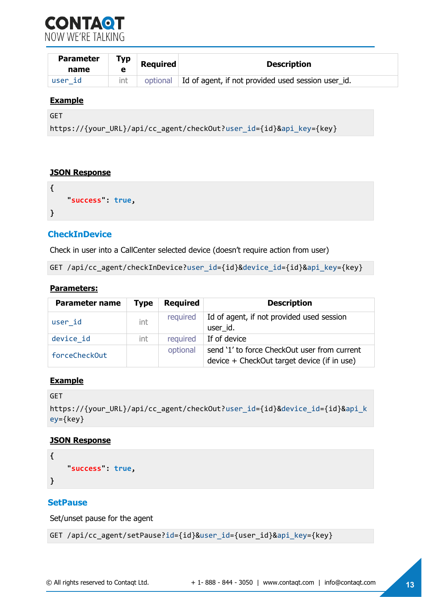

| <b>Parameter</b><br>name | Typ<br>е | <b>Required</b> | <b>Description</b>                                 |
|--------------------------|----------|-----------------|----------------------------------------------------|
| user id                  | int      | optional        | Id of agent, if not provided used session user id. |

#### **Example**

```
GET
```
https://{your\_URL}/api/cc\_agent/checkOut?user\_id={id}&api\_key={key}

#### **JSON Response**

```
{
     "success": true, 
}
```
#### **CheckInDevice**

Check in user into a CallCenter selected device (doesn't require action from user)

GET /api/cc agent/checkInDevice?user id={id}&device id={id}&api key={key}

#### **Parameters:**

| <b>Parameter name</b> | <b>Type</b> | <b>Required</b> | <b>Description</b>                           |
|-----------------------|-------------|-----------------|----------------------------------------------|
| user id               | int         | required        | Id of agent, if not provided used session    |
|                       |             |                 | user id.                                     |
| device id             | int         | required        | If of device                                 |
| forceCheckOut         |             | optional        | send '1' to force CheckOut user from current |
|                       |             |                 | device + CheckOut target device (if in use)  |

#### **Example**

```
GET 
https://{your_URL}/api/cc_agent/checkOut?user_id={id}&device_id={id}&api_k
ey={key}
```
#### **JSON Response**

```
{
      "success": true, 
}
```
#### **SetPause**

Set/unset pause for the agent

```
GET /api/cc_agent/setPause?id={id}&user_id={user_id}&api_key={key}
```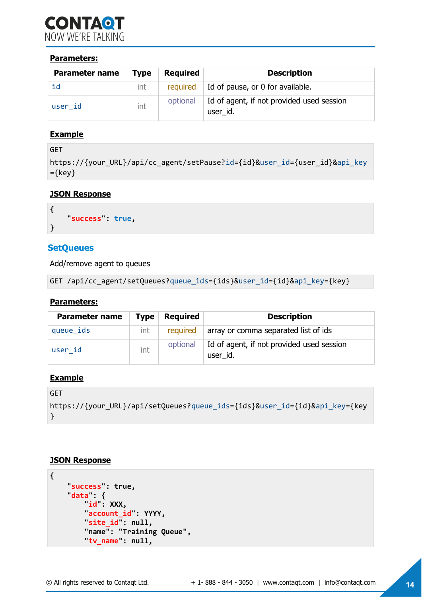

#### **Parameters:**

| <b>Parameter name</b> | <b>Type</b> | <b>Required</b> | <b>Description</b>                                    |
|-----------------------|-------------|-----------------|-------------------------------------------------------|
| id                    | int         |                 | required $\parallel$ Id of pause, or 0 for available. |
| user id               | int         | optional        | Id of agent, if not provided used session<br>user id. |

#### **Example**

```
GET 
https://{your_URL}/api/cc_agent/setPause?id={id}&user_id={user_id}&api_key
=\{key\}
```
#### **JSON Response**

```
{
      "success": true, 
}
```
#### **SetQueues**

Add/remove agent to queues

```
GET /api/cc_agent/setQueues?queue_ids={ids}&user_id={id}&api_key={key}
```
#### **Parameters:**

| <b>Parameter name</b> | <b>Type</b> | <b>Required</b> | <b>Description</b>                                    |
|-----------------------|-------------|-----------------|-------------------------------------------------------|
| queue ids             | int         |                 | required array or comma separated list of ids         |
| user id               | int         | optional        | Id of agent, if not provided used session<br>user id. |

#### **Example**

```
GET 
https://{your_URL}/api/setQueues?queue_ids={ids}&user_id={id}&api_key={key
}
```

```
{
     "success": true, 
    data": {
          "id": XXX, 
          "account_id": YYYY, 
         site id : null,
         "name": "Training Queue", 
          "tv_name": null,
```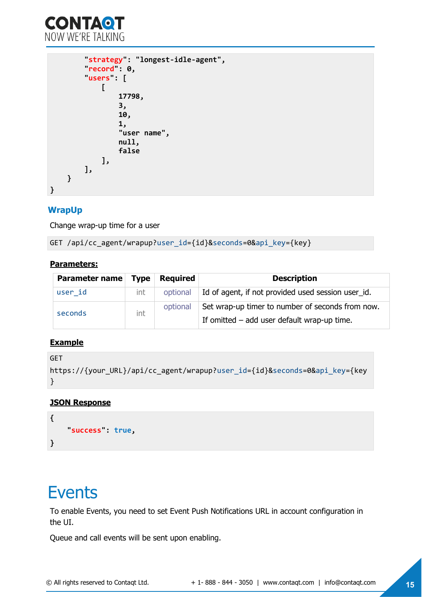

```
 "strategy": "longest-idle-agent", 
          "record": 0, 
         users : [
 [
                   17798, 
                    3, 
                    10, 
                    1, 
                    "user name", 
                   null, 
                   false
               ], 
          ], 
     }
}
```
#### **WrapUp**

Change wrap-up time for a user

GET /api/cc\_agent/wrapup?user\_id={id}&seconds=0&api\_key={key}

#### **Parameters:**

| Parameter name Type |     | Required | <b>Description</b>                                 |  |
|---------------------|-----|----------|----------------------------------------------------|--|
| user id             | int | optional | Id of agent, if not provided used session user_id. |  |
| seconds             | int | optional | Set wrap-up timer to number of seconds from now.   |  |
|                     |     |          | If omitted $-$ add user default wrap-up time.      |  |

#### **Example**

```
GET 
https://{your_URL}/api/cc_agent/wrapup?user_id={id}&seconds=0&api_key={key
}
```
#### **JSON Response**

```
{
     "success": true, 
}
```
### **Events**

To enable Events, you need to set Event Push Notifications URL in account configuration in the UI.

Queue and call events will be sent upon enabling.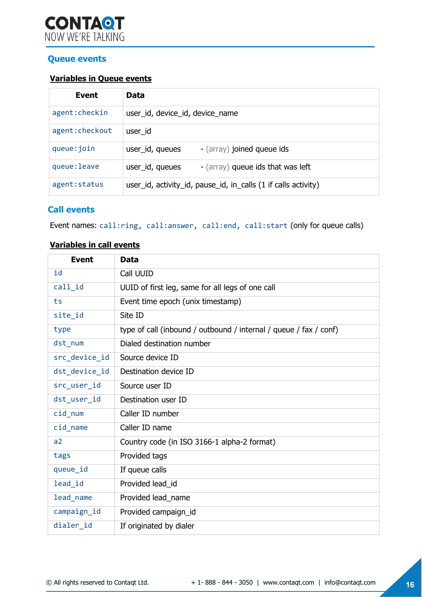#### **Queue events**

#### **Variables in Queue events**

| Event           | Data                                                           |
|-----------------|----------------------------------------------------------------|
| agent: checkin  | user_id, device_id, device_name                                |
| agent: checkout | user id                                                        |
| queue: join     | user_id, queues<br>- (array) joined queue ids                  |
| queue: leave    | - (array) queue ids that was left<br>user_id, queues           |
| agent: status   | user_id, activity_id, pause_id, in_calls (1 if calls activity) |

#### **Call events**

Event names: call:ring, call:answer, call:end, call:start (only for queue calls)

#### **Variables in call events**

| <b>Event</b>  | <b>Data</b>                                                       |
|---------------|-------------------------------------------------------------------|
| id            | Call UUID                                                         |
| call_id       | UUID of first leg, same for all legs of one call                  |
| ts            | Event time epoch (unix timestamp)                                 |
| site_id       | Site ID                                                           |
| type          | type of call (inbound / outbound / internal / queue / fax / conf) |
| dst_num       | Dialed destination number                                         |
| src device id | Source device ID                                                  |
| dst_device_id | Destination device ID                                             |
| src_user_id   | Source user ID                                                    |
| dst user id   | Destination user ID                                               |
| cid num       | Caller ID number                                                  |
| cid_name      | Caller ID name                                                    |
| a2            | Country code (in ISO 3166-1 alpha-2 format)                       |
| tags          | Provided tags                                                     |
| queue_id      | If queue calls                                                    |
| lead id       | Provided lead_id                                                  |
| lead name     | Provided lead_name                                                |
| campaign_id   | Provided campaign_id                                              |
| dialer_id     | If originated by dialer                                           |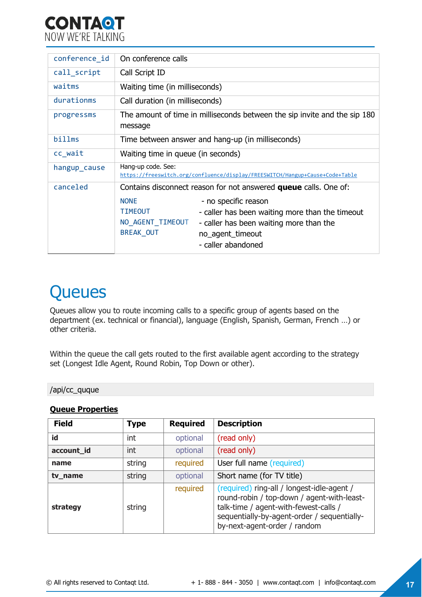

| conference id | On conference calls                                                                                                                                                                                                                   |  |  |
|---------------|---------------------------------------------------------------------------------------------------------------------------------------------------------------------------------------------------------------------------------------|--|--|
| call_script   | Call Script ID                                                                                                                                                                                                                        |  |  |
| waitms        | Waiting time (in milliseconds)                                                                                                                                                                                                        |  |  |
| durationms    | Call duration (in milliseconds)                                                                                                                                                                                                       |  |  |
| progressms    | The amount of time in milliseconds between the sip invite and the sip 180<br>message                                                                                                                                                  |  |  |
| billms        | Time between answer and hang-up (in milliseconds)                                                                                                                                                                                     |  |  |
| cc_wait       | Waiting time in queue (in seconds)                                                                                                                                                                                                    |  |  |
| hangup_cause  | Hang-up code. See:<br>https://freeswitch.org/confluence/display/FREESWITCH/Hangup+Cause+Code+Table                                                                                                                                    |  |  |
| canceled      | Contains disconnect reason for not answered <b>queue</b> calls. One of:                                                                                                                                                               |  |  |
|               | <b>NONE</b><br>- no specific reason<br><b>TIMEOUT</b><br>- caller has been waiting more than the timeout<br>NO_AGENT_TIMEOUT<br>- caller has been waiting more than the<br><b>BREAK OUT</b><br>no_agent_timeout<br>- caller abandoned |  |  |

# <span id="page-16-0"></span>**Queues**

Queues allow you to route incoming calls to a specific group of agents based on the department (ex. technical or financial), language (English, Spanish, German, French …) or other criteria.

Within the queue the call gets routed to the first available agent according to the strategy set (Longest Idle Agent, Round Robin, Top Down or other).

#### /api/cc\_quque

#### **Queue Properties**

| <b>Field</b> | <b>Type</b> | <b>Required</b> | <b>Description</b>                                                                                                                                                                                               |
|--------------|-------------|-----------------|------------------------------------------------------------------------------------------------------------------------------------------------------------------------------------------------------------------|
| id           | int         | optional        | (read only)                                                                                                                                                                                                      |
| account_id   | int         | optional        | (read only)                                                                                                                                                                                                      |
| name         | string      | required        | User full name (required)                                                                                                                                                                                        |
| tv_name      | string      | optional        | Short name (for TV title)                                                                                                                                                                                        |
| strategy     | string      | required        | (required) ring-all / longest-idle-agent /<br>round-robin / top-down / agent-with-least-<br>talk-time / agent-with-fewest-calls /<br>sequentially-by-agent-order / sequentially-<br>by-next-agent-order / random |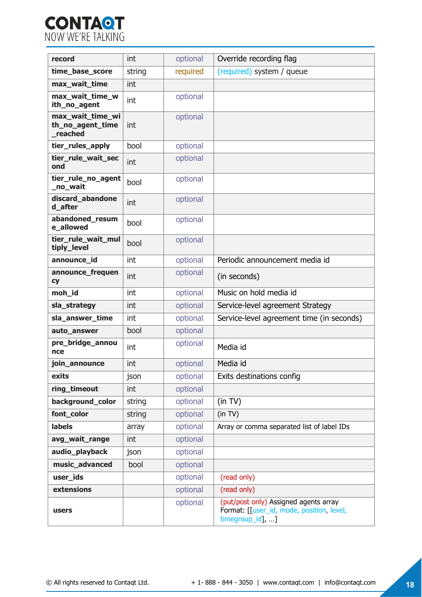

| record                                          | int    | optional | Override recording flag                                                                                |
|-------------------------------------------------|--------|----------|--------------------------------------------------------------------------------------------------------|
| time_base_score                                 | string | required | (required) system / queue                                                                              |
| max_wait_time                                   | int    |          |                                                                                                        |
| max_wait_time_w<br>ith_no_agent                 | int    | optional |                                                                                                        |
| max_wait_time_wi<br>th_no_agent_time<br>reached | int    | optional |                                                                                                        |
| tier_rules_apply                                | bool   | optional |                                                                                                        |
| tier_rule_wait_sec<br>ond                       | int    | optional |                                                                                                        |
| tier_rule_no_agent<br>_no_wait                  | bool   | optional |                                                                                                        |
| discard_abandone<br>d after                     | int    | optional |                                                                                                        |
| abandoned_resum<br>e allowed                    | bool   | optional |                                                                                                        |
| tier rule wait mul<br>tiply_level               | bool   | optional |                                                                                                        |
| announce_id                                     | int    | optional | Periodic announcement media id                                                                         |
| announce_frequen<br><b>cy</b>                   | int    | optional | (in seconds)                                                                                           |
| moh_id                                          | int    | optional | Music on hold media id                                                                                 |
| sla_strategy                                    | int    | optional | Service-level agreement Strategy                                                                       |
| sla_answer_time                                 | int    | optional | Service-level agreement time (in seconds)                                                              |
| auto_answer                                     | bool   | optional |                                                                                                        |
| pre_bridge_annou<br>nce                         | int    | optional | Media id                                                                                               |
| join_announce                                   | int    | optional | Media id                                                                                               |
| exits                                           | json   | optional | Exits destinations config                                                                              |
| ring timeout                                    | int    | optional |                                                                                                        |
| background_color                                | string | optional | (in TV)                                                                                                |
| font color                                      | string | optional | (in TV)                                                                                                |
| labels                                          | array  | optional | Array or comma separated list of label IDs                                                             |
| avg_wait_range                                  | int    | optional |                                                                                                        |
| audio_playback                                  | json   | optional |                                                                                                        |
| music_advanced                                  | bool   | optional |                                                                                                        |
| user_ids                                        |        | optional | (read only)                                                                                            |
| extensions                                      |        | optional | (read only)                                                                                            |
| users                                           |        | optional | (put/post only) Assigned agents array<br>Format: [[user_id, mode, position, level,<br>timegroup_id], ] |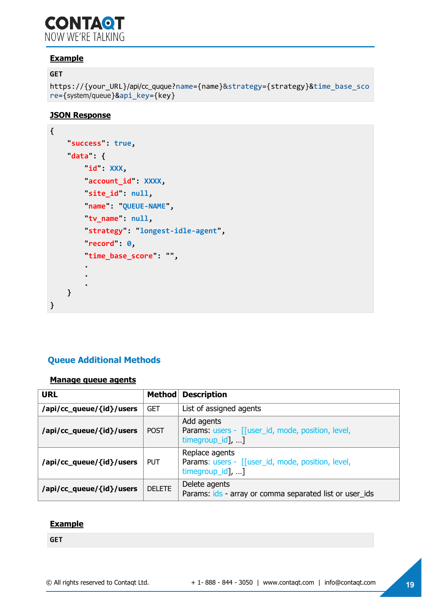### **CONTAQT** NOW WF'RE TAI KING

#### **Example**

#### **GET**

```
https://{your_URL}/api/cc_quque?name={name}&strategy={strategy}&time_base_sco
re={system/queue}&api_key={key}
```
#### **JSON Response**

```
{
     "success": true, 
     "data": {
         "id": XXX, 
         "account_id": XXXX, 
        \text{site}_id : null,
         "name": "QUEUE-NAME", 
         "tv_name": null, 
         "strategy": "longest-idle-agent", 
         "record": 0, 
         "time_base_score": "", 
 . 
 . 
 . 
     }
}
```
### **Queue Additional Methods**

#### <span id="page-18-0"></span>**Manage queue agents**

| <b>Method</b><br><b>URL</b> |               | <b>Description</b>                                                                      |  |
|-----------------------------|---------------|-----------------------------------------------------------------------------------------|--|
| /api/cc_queue/{id}/users    | <b>GET</b>    | List of assigned agents                                                                 |  |
| /api/cc_queue/{id}/users    | <b>POST</b>   | Add agents<br>Params: users - [[user_id, mode, position, level,<br>timegroup_id], ]     |  |
| /api/cc_queue/{id}/users    | <b>PUT</b>    | Replace agents<br>Params: users - [[user_id, mode, position, level,<br>timegroup_id], ] |  |
| /api/cc_queue/{id}/users    | <b>DELETE</b> | Delete agents<br>Params: ids - array or comma separated list or user_ids                |  |

#### **Example**

**GET**